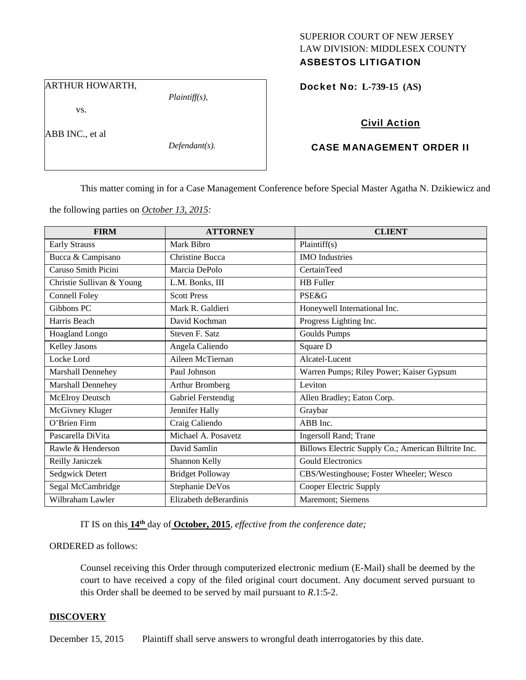# SUPERIOR COURT OF NEW JERSEY LAW DIVISION: MIDDLESEX COUNTY

# ASBESTOS LITIGATION

ARTHUR HOWARTH,

vs.

ABB INC., et al

*Defendant(s).* 

*Plaintiff(s),* 

Docket No: **L-739-15 (AS)** 

## Civil Action

### CASE MANAGEMENT ORDER II

This matter coming in for a Case Management Conference before Special Master Agatha N. Dzikiewicz and

the following parties on *October 13, 2015:* 

| <b>FIRM</b>               | <b>ATTORNEY</b>         | <b>CLIENT</b>                                       |
|---------------------------|-------------------------|-----------------------------------------------------|
| <b>Early Strauss</b>      | Mark Bibro              | Plaintiff(s)                                        |
| Bucca & Campisano         | <b>Christine Bucca</b>  | <b>IMO</b> Industries                               |
| Caruso Smith Picini       | Marcia DePolo           | CertainTeed                                         |
| Christie Sullivan & Young | L.M. Bonks, III         | <b>HB</b> Fuller                                    |
| <b>Connell Foley</b>      | <b>Scott Press</b>      | <b>PSE&amp;G</b>                                    |
| Gibbons PC                | Mark R. Galdieri        | Honeywell International Inc.                        |
| Harris Beach              | David Kochman           | Progress Lighting Inc.                              |
| <b>Hoagland Longo</b>     | Steven F. Satz          | <b>Goulds Pumps</b>                                 |
| <b>Kelley Jasons</b>      | Angela Caliendo         | Square D                                            |
| Locke Lord                | Aileen McTiernan        | Alcatel-Lucent                                      |
| Marshall Dennehey         | Paul Johnson            | Warren Pumps; Riley Power; Kaiser Gypsum            |
| Marshall Dennehey         | Arthur Bromberg         | Leviton                                             |
| <b>McElroy Deutsch</b>    | Gabriel Ferstendig      | Allen Bradley; Eaton Corp.                          |
| McGivney Kluger           | Jennifer Hally          | Graybar                                             |
| O'Brien Firm              | Craig Caliendo          | ABB Inc.                                            |
| Pascarella DiVita         | Michael A. Posavetz     | Ingersoll Rand; Trane                               |
| Rawle & Henderson         | David Samlin            | Billows Electric Supply Co.; American Biltrite Inc. |
| Reilly Janiczek           | Shannon Kelly           | <b>Gould Electronics</b>                            |
| Sedgwick Detert           | <b>Bridget Polloway</b> | CBS/Westinghouse; Foster Wheeler; Wesco             |
| Segal McCambridge         | Stephanie DeVos         | Cooper Electric Supply                              |
| Wilbraham Lawler          | Elizabeth deBerardinis  | Maremont; Siemens                                   |

IT IS on this **14th** day of **October, 2015**, *effective from the conference date;*

ORDERED as follows:

Counsel receiving this Order through computerized electronic medium (E-Mail) shall be deemed by the court to have received a copy of the filed original court document. Any document served pursuant to this Order shall be deemed to be served by mail pursuant to *R*.1:5-2.

#### **DISCOVERY**

December 15, 2015 Plaintiff shall serve answers to wrongful death interrogatories by this date.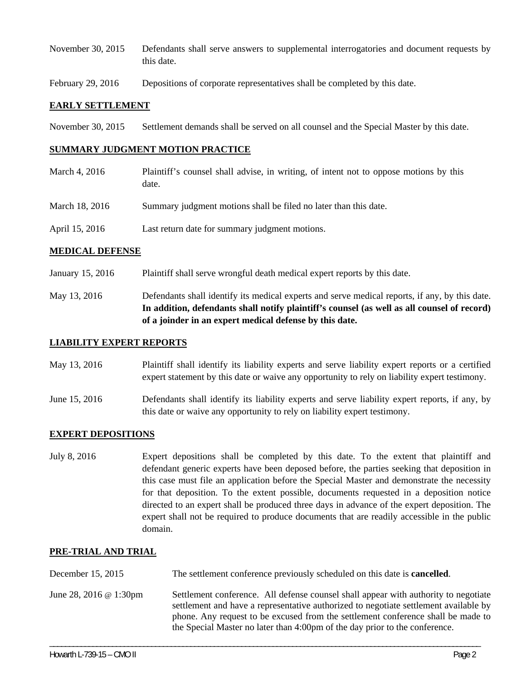- November 30, 2015 Defendants shall serve answers to supplemental interrogatories and document requests by this date.
- February 29, 2016 Depositions of corporate representatives shall be completed by this date.

#### **EARLY SETTLEMENT**

November 30, 2015 Settlement demands shall be served on all counsel and the Special Master by this date.

#### **SUMMARY JUDGMENT MOTION PRACTICE**

March 4, 2016 Plaintiff's counsel shall advise, in writing, of intent not to oppose motions by this date. March 18, 2016 Summary judgment motions shall be filed no later than this date. April 15, 2016 Last return date for summary judgment motions.

#### **MEDICAL DEFENSE**

- January 15, 2016 Plaintiff shall serve wrongful death medical expert reports by this date.
- May 13, 2016 Defendants shall identify its medical experts and serve medical reports, if any, by this date. **In addition, defendants shall notify plaintiff's counsel (as well as all counsel of record) of a joinder in an expert medical defense by this date.**

#### **LIABILITY EXPERT REPORTS**

May 13, 2016 Plaintiff shall identify its liability experts and serve liability expert reports or a certified expert statement by this date or waive any opportunity to rely on liability expert testimony.

June 15, 2016 Defendants shall identify its liability experts and serve liability expert reports, if any, by this date or waive any opportunity to rely on liability expert testimony.

#### **EXPERT DEPOSITIONS**

July 8, 2016 Expert depositions shall be completed by this date. To the extent that plaintiff and defendant generic experts have been deposed before, the parties seeking that deposition in this case must file an application before the Special Master and demonstrate the necessity for that deposition. To the extent possible, documents requested in a deposition notice directed to an expert shall be produced three days in advance of the expert deposition. The expert shall not be required to produce documents that are readily accessible in the public domain.

### **PRE-TRIAL AND TRIAL**

- December 15, 2015 The settlement conference previously scheduled on this date is **cancelled**.
- June 28, 2016 @ 1:30pm Settlement conference. All defense counsel shall appear with authority to negotiate settlement and have a representative authorized to negotiate settlement available by phone. Any request to be excused from the settlement conference shall be made to the Special Master no later than 4:00pm of the day prior to the conference.

\_\_\_\_\_\_\_\_\_\_\_\_\_\_\_\_\_\_\_\_\_\_\_\_\_\_\_\_\_\_\_\_\_\_\_\_\_\_\_\_\_\_\_\_\_\_\_\_\_\_\_\_\_\_\_\_\_\_\_\_\_\_\_\_\_\_\_\_\_\_\_\_\_\_\_\_\_\_\_\_\_\_\_\_\_\_\_\_\_\_\_\_\_\_\_\_\_\_\_\_\_\_\_\_\_\_\_\_\_\_